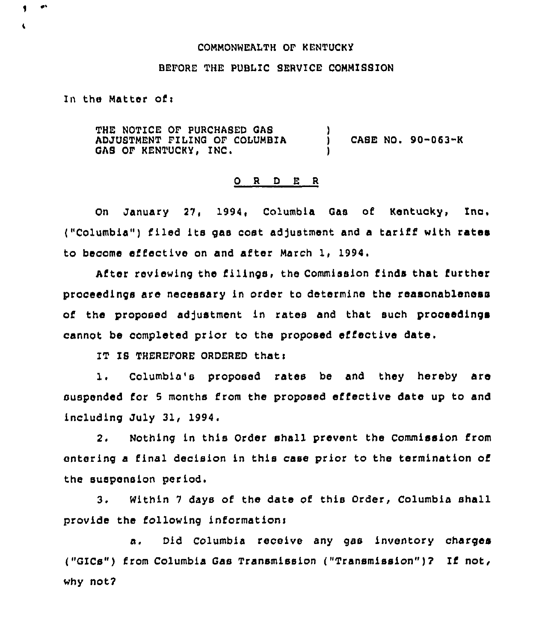## COMMONWEALTH OF KENTUCKY

## BEFORE THE PUBLIC SERVICE COMMISSION

## In the Matter of  $\mathbf{r}$

THE NOTICE OF PURCHASED QAS ADJUSTMENT FILING OF COLUMBIA QAS OF KENTUCKY, INC. CABE NO.  $90-063-K$ )

## 0 <sup>R</sup> <sup>D</sup> E <sup>R</sup>

On January 27, 1994, Columbia Qas of Kentucky, Inc. ("Columbia") filed its gas cost adjustment and a tariff with rates to become effective on and after March 1, 1994.

After reviewing the filings, the Commission finds that further proceedings are necessary in order to determine the reasonableness of the proposed adjustment in rates and that such proceedings cannot be completed prior to the proposed effective date.

IT IS THEREFORE ORDERED that:

1. Columbia's proposed rates be and they hereby are suspended for <sup>5</sup> months from the proposed effective date up to and including July 31, 1994.

2. Nothing in this Order shall prevent the Commission from entering a final decision in this case prior to the termination of the suspension period.

3. Within <sup>7</sup> days of the date of this Order, Columbia shall provide the following informationi

a. Did Columbia receive any gas inventory charges ("GICs") from Columbia Gas Transmission ("Transmission")2 If not, why not?